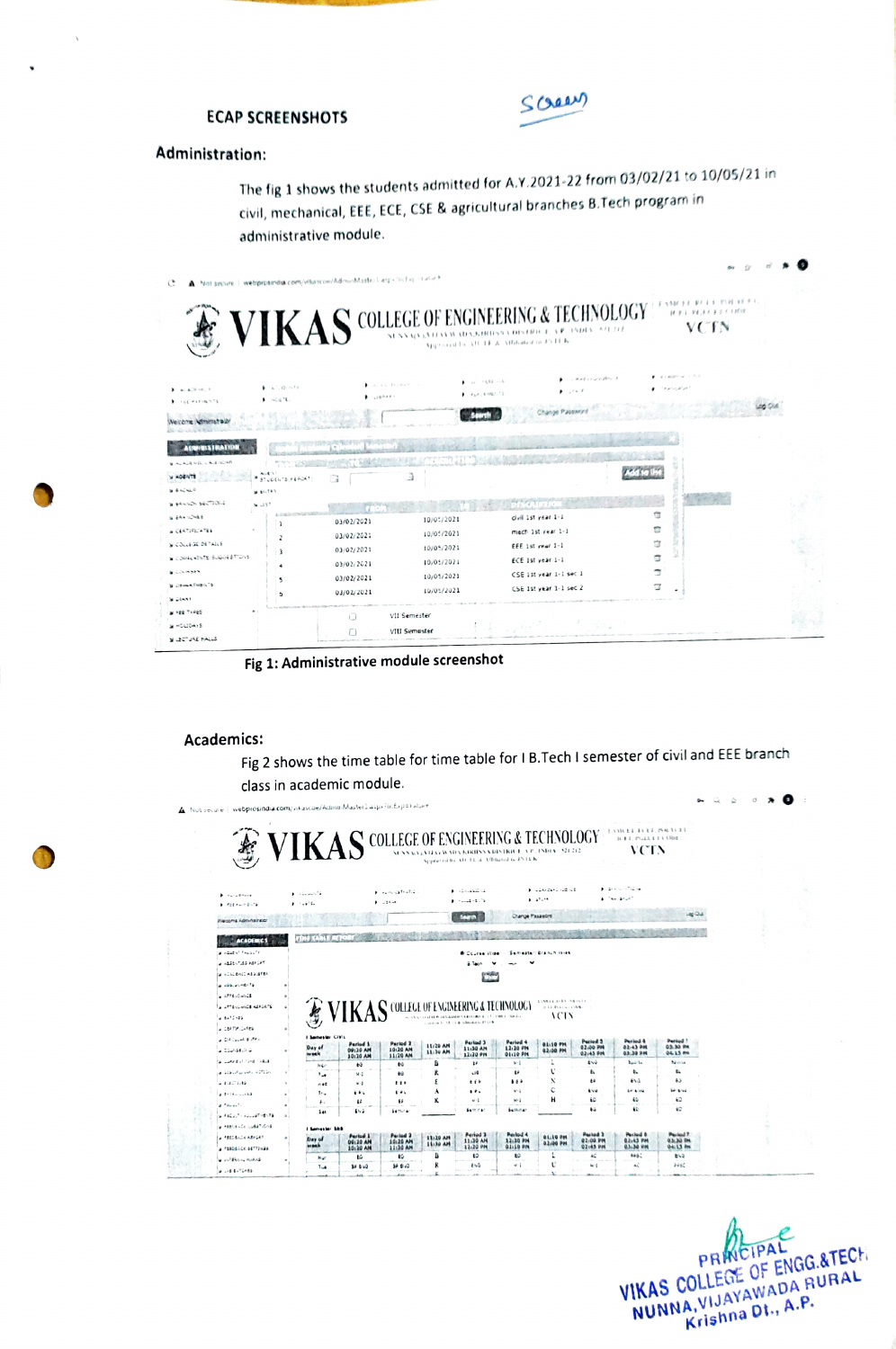

# **ECAP SCREENSHOTS**

# Administration:

The fig 1 shows the students admitted for A.Y.2021-22 from 03/02/21 to 10/05/21 in civil, mechanical, EEE, ECE, CSE & agricultural branches B.Tech program in administrative module.

|                                                                                                                                                               |                                              | Not separe 1 webprosindus.com/visascon/Administration Laspin Dichap-Hatune |                                                                    | VIKAS COLLEGE OF ENGINEERING & TECHNOLOGY<br>Approved to AR TE & Affiliated to FATER.                                                              | $\{d\mid p\mid l-p\mid d\mid, d\leq p\leq l\leq l\leq 2l\}\in\mathcal{R}$<br><b>VCTN</b> |  |
|---------------------------------------------------------------------------------------------------------------------------------------------------------------|----------------------------------------------|----------------------------------------------------------------------------|--------------------------------------------------------------------|----------------------------------------------------------------------------------------------------------------------------------------------------|------------------------------------------------------------------------------------------|--|
| $3 - 4\sqrt{16}$ (10 $-10$ , 15<br><b>1 YEE PATIMATE</b>                                                                                                      | $A = A^{-1}$ (2) $A = 14$<br>1.1431          | A. ed. 14,0003<br><b>CLUBAAR</b>                                           | $-27 - 7881 - 79$<br>1 PLACEMENTS                                  | Zakart Extractible 16<br>$\blacktriangleright$ $\ldots$                                                                                            | ACRY -<br>كالمداخل إمراجهما                                                              |  |
| <b>ACTIVITY CALL AND ART</b><br>366.540                                                                                                                       | Aut 1<br>31U0EN18-FEADAT<br><b>MELTEY</b>    |                                                                            | Э                                                                  |                                                                                                                                                    |                                                                                          |  |
| N SALINDA BELTIONS<br><b>WERE WORKS</b><br>» CERTIFICATES<br><b>WICOLLEGE DETAILS</b><br>El confuntit Suddi Etons<br>a cheeses<br><b>Wildeman Free Is The</b> | $N \cup S$ <sup>7</sup><br>$\mathbf{1}$<br>5 | 03/02/2021<br>03/02/2021<br>03/02/2021<br>03/02/2021<br>03/02/2021         | 10/05/2021<br>10/05/2021<br>10/05/2021<br>10/05/2021<br>10/05/2021 | DESCRIPTION<br>civil 1st year 1-1<br>mech 1st year 1-1<br>FFF 1st year 1-1<br>ECE 1st year 1-1<br>CSE 1st year 1-1 sec 1<br>CSE 1st year 1-1 sec 2 | Ġ<br>Ġ<br>寇<br>Ġ<br>٦                                                                    |  |
| State of<br>W FEE TYPES<br>M HOLIDAIS<br><b>N JECTURE HALLS</b>                                                                                               | ь                                            | 03/02/2021<br>$\Box$<br>$\sqrt{ }$                                         | 10/05/2021<br>VII Semester<br>VIII Semester                        |                                                                                                                                                    |                                                                                          |  |

Fig 1: Administrative module screenshot

### Academics:

Fig 2 shows the time table for time table for I B. Tech I semester of civil and EEE branch class in academic module.

|                                                          | <b>SVIKAS</b> COLLEGE OF ENGINEERING & TECHNOLOGY |                                           |                      |                      |                                             |                      |                                                    |                      | 2331622, 2622, 15463133<br><b>B.E.L. PLAA &amp; J. CENDE</b> |                               |  |  |
|----------------------------------------------------------|---------------------------------------------------|-------------------------------------------|----------------------|----------------------|---------------------------------------------|----------------------|----------------------------------------------------|----------------------|--------------------------------------------------------------|-------------------------------|--|--|
|                                                          |                                                   |                                           |                      |                      |                                             |                      |                                                    |                      | VCTN                                                         |                               |  |  |
|                                                          |                                                   |                                           |                      |                      |                                             |                      |                                                    |                      |                                                              |                               |  |  |
|                                                          |                                                   |                                           |                      |                      |                                             |                      |                                                    |                      |                                                              |                               |  |  |
|                                                          |                                                   |                                           |                      |                      |                                             |                      | at مطار تحمد ندی (م                                |                      | $1.444$ and $-7.244$                                         |                               |  |  |
| $+ - - - - - - -$                                        | P. Google 19                                      |                                           | شائعة فشائيه سوارا   |                      | $1 - 12 - 12525 - 4$<br>$1 - 1 - 1 - 1 - 1$ |                      | $1.11 - 10$                                        |                      | $1 - 3 - 6 - 6$                                              |                               |  |  |
| $1.721 + 0.76$                                           | 1.111                                             |                                           | $1 - 124 - 4$        |                      |                                             |                      |                                                    |                      |                                                              |                               |  |  |
| Weischna Administrator                                   |                                                   |                                           |                      |                      | Search                                      | Change Passeore      |                                                    |                      |                                                              | Lap Qui                       |  |  |
|                                                          |                                                   |                                           |                      |                      |                                             |                      |                                                    |                      |                                                              |                               |  |  |
| <b>ACADEMICS</b>                                         | <b>DIMENSIONS</b>                                 |                                           |                      |                      |                                             |                      |                                                    |                      |                                                              |                               |  |  |
| a industrial factor for                                  |                                                   |                                           |                      |                      | <b>B</b> Course Wide                        |                      | Semester: 8/6/40 WHA                               |                      |                                                              |                               |  |  |
| A ASSENTISS ASSORT                                       |                                                   |                                           |                      |                      | à Taco                                      |                      |                                                    |                      |                                                              |                               |  |  |
| MI ACALIBADE ABGISTER                                    |                                                   |                                           |                      |                      | Œ                                           |                      |                                                    |                      |                                                              |                               |  |  |
|                                                          |                                                   |                                           |                      |                      |                                             |                      |                                                    |                      |                                                              |                               |  |  |
| كالخلاصات تلكنا ورأ                                      |                                                   |                                           |                      |                      |                                             |                      |                                                    |                      |                                                              |                               |  |  |
| $\times$ arrangements                                    |                                                   |                                           |                      |                      |                                             |                      |                                                    |                      |                                                              |                               |  |  |
| <b>A AFFAIRMED ALFORTS</b>                               |                                                   |                                           |                      |                      |                                             |                      | <b>COMELA AVES IN A 1973</b><br><b>BALINELLINE</b> |                      |                                                              |                               |  |  |
| a batChes                                                |                                                   | VIKAS COLLEGE OF ENGINEERING & TECHNOLOGY |                      |                      |                                             |                      | ACTN                                               |                      |                                                              |                               |  |  |
| A CARTIFICATES                                           |                                                   |                                           |                      |                      | communication de administrative to the      |                      |                                                    |                      |                                                              |                               |  |  |
| a Citizens E de i                                        | I Seinester OVIL                                  |                                           |                      |                      |                                             |                      |                                                    |                      |                                                              |                               |  |  |
| 4.2244.24                                                | Day of                                            | Period 1<br>09:20 AM                      | Parted 2<br>10:20 AM | 11/20 AM             | <b>Period 3</b><br>11:30 AM                 | Period 4<br>12:30 PM | <b>01:10 PH</b>                                    | Pariod 3<br>02.00 PM | Period &<br>02-43 PM                                         | Period ?<br><b>Q.S. 30 PM</b> |  |  |
| a control time indust                                    | week                                              | 10:20 AM                                  | 11/20 AM             | 11:30 AM             | 12:20 PM                                    | <b>01:10 PM</b>      | 02:00 PM                                           | 02-45 PM             | <b>Q.3: 30 PM</b><br><b>Build</b>                            | 04.13 PM<br><b>MARIA</b>      |  |  |
| وطالات بالمتونية لتكافئكم                                | NG                                                | 64                                        | Еú<br>ŧй             | в<br>ĸ               | H.<br><b>ن</b> ان                           | $N-1$<br>u           |                                                    | inú<br>£.            | t.                                                           | t.                            |  |  |
| $+1.1 - 1.46$                                            | ۰.,                                               | $M-1$<br>4.4                              | $\cdots$             | £                    | 6.6.6                                       | 1.14                 | $\boldsymbol{\mathsf{x}}$                          | £ê                   | EN1                                                          | ŧΰ                            |  |  |
| 4.511411345                                              | 0.05<br>1 <sub>1</sub>                            | 101                                       | $6 - 1$              | A                    |                                             | $v-1$                | c                                                  | 1.4                  | 17 LVG                                                       | bir bruk                      |  |  |
|                                                          | ۴d                                                | ££                                        | ٤۶                   | ĸ                    | w:1                                         | $M-1$                | н                                                  | £0                   | εt                                                           | £0                            |  |  |
| $d^{-1}$ ho de $^{\dagger}$<br>a Faculty applier resista | 541                                               | 654                                       | Sertimer             |                      | 600.040                                     | 8400.040             |                                                    | ŧú                   | $\ddot{\mathbf{c}}$                                          | ŧΩ                            |  |  |
| WIRELANDS DUESTIONS                                      |                                                   |                                           |                      |                      |                                             |                      |                                                    |                      |                                                              |                               |  |  |
|                                                          | I Sentraster Edith                                | Period 1                                  | Period 2             |                      | Period 3                                    | <b>Parlout 4</b>     |                                                    | <b>Parish 3</b>      | Pasked &                                                     | <b>Pacied 7</b>               |  |  |
| <b>A FEEDBACK REPORT</b>                                 | Day of<br>week                                    | 09:20 AM                                  | 10:20 AM             | 11:20 AM<br>11:30 AM | 11.30 AN                                    | 12:20 PM<br>01:10 PM | <b>Q1.10 PM</b><br>0.1:00 PM                       | 02:00 PM<br>02:45 PM | <b>B2-43 PM</b><br>03-30 PM                                  | 0.5.30 PM<br>04:13 Pm         |  |  |
| a respecto sermicas<br><b>WANTED AND HORIZE</b>          | <b>Mar</b>                                        | 10:30 AM<br>60                            | 11:20 AM<br>Łũ       | в                    | 12/20 PM<br>t0                              | ŧΰ                   |                                                    | ĸ                    | 8850                                                         | ENG.                          |  |  |

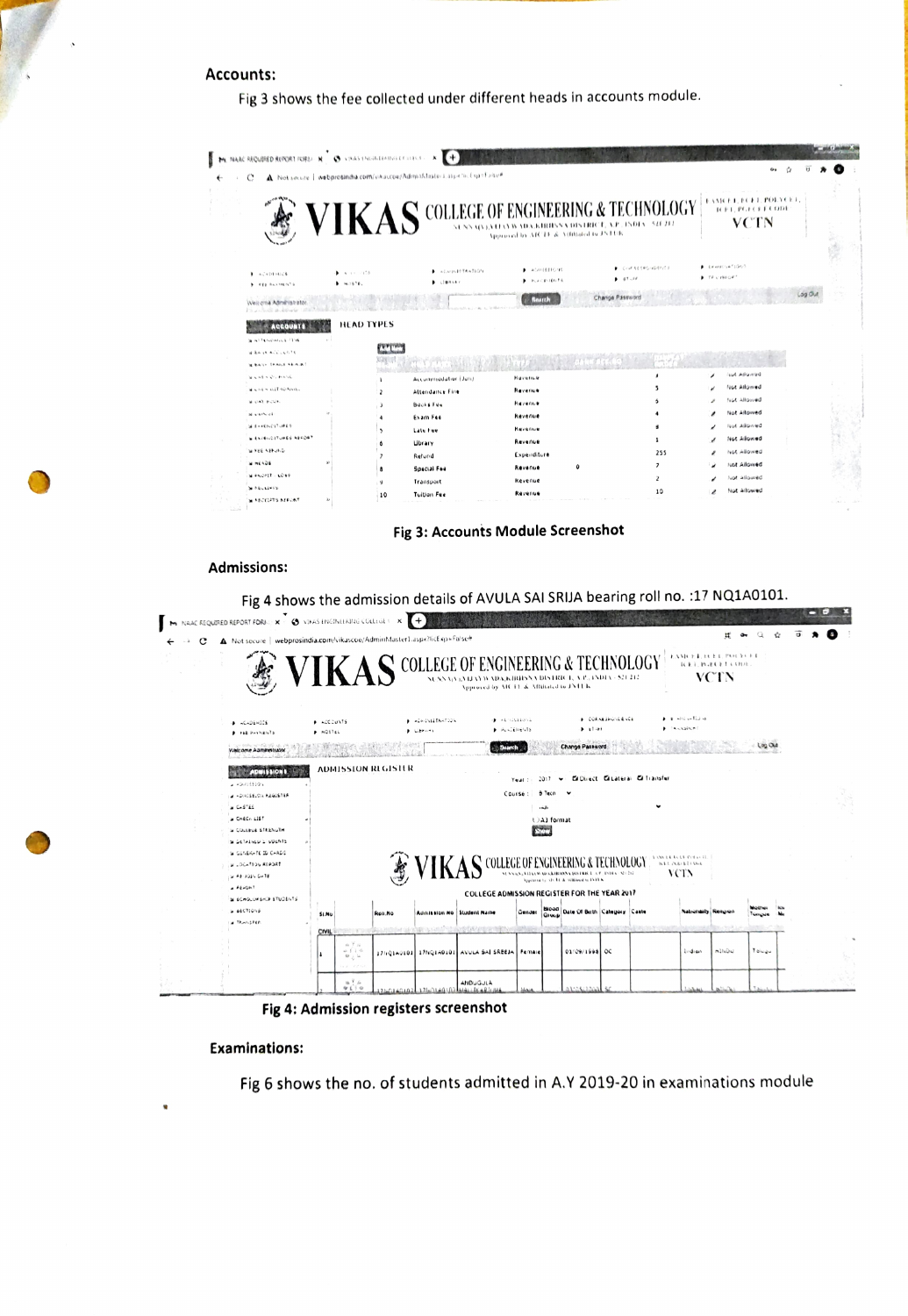### **Accounts:**

Fig 3 shows the fee collected under different heads in accounts module.

| е |                                                  |                         |                  | A Not secure   webprosindia.com/vikascox/Administrations.aspective useFalse# | Approved by ATCTF & Attituded to JSTEEK | VIKAS COLLEGE OF ENGINEERING & TECHNOLOGY |            | ۰.<br><b>EASKET, ECFT, POLYCEL</b><br><b>ICET, PGLCKTCODE</b><br><b>VCTN</b> |
|---|--------------------------------------------------|-------------------------|------------------|------------------------------------------------------------------------------|-----------------------------------------|-------------------------------------------|------------|------------------------------------------------------------------------------|
|   | <b>B</b> ACADEMICS<br><b>&gt; FEE FALLIMENTS</b> | 1.411111<br>$+ 14.2676$ |                  | <b>A ACANDISTANTION</b><br>1074487                                           | AGREERO 10<br><b>B</b> PLACENTRITS      | CONTRESPONDENCE<br>$9.67 - 50$            | 14.1980047 | F: EXHAUSTINTIONS                                                            |
|   | Welcome Administrato<br>di al-Albara             |                         |                  |                                                                              | <b>Reatth</b>                           | Change Password                           |            |                                                                              |
|   | <b>ACCOUNTS</b><br><b>WALTERMAN LETTER</b>       | <b>HEAD TYPES</b>       | <b>CALL CARD</b> |                                                                              |                                         |                                           |            |                                                                              |
|   | W RAISE ACCOUNTS                                 |                         |                  |                                                                              |                                         |                                           |            |                                                                              |
|   | Is bally Thans Shaw                              |                         |                  |                                                                              |                                         |                                           |            |                                                                              |
|   | WASHINGTONG.                                     |                         |                  | Accommodation (Jun)                                                          | <b><i>Havenue</i></b>                   |                                           |            | bewohn Juri                                                                  |
|   | a cars nit spann.                                |                         | $\overline{ }$   | Attendance Fine                                                              | Revenue                                 |                                           |            | <b>Not Allowed</b>                                                           |
|   | MUATE-JUA                                        |                         |                  | <b>BOOKS Fee</b>                                                             | Revenue                                 |                                           |            | Not allowed                                                                  |
|   | al starbuck                                      |                         |                  | Exam Fee                                                                     | Kevenue                                 |                                           |            | Not Allowed                                                                  |
|   | WE-FENDY URES                                    |                         |                  | Late Fee                                                                     | Revenue                                 |                                           |            | <b>Rut Allowed</b>                                                           |
|   | <b>WEATHING ITURES AEFORT</b>                    |                         |                  | Library                                                                      | Revenue                                 |                                           |            | Not Allowed                                                                  |
|   | WIFEE APPUND                                     |                         |                  | Refund                                                                       | Experiditure                            | 255                                       |            | Not allowed                                                                  |
|   | <b>MINE4DE</b>                                   |                         |                  |                                                                              | $\Omega$<br>Revenue                     | $\overline{\phantom{a}}$                  |            | Not Allowed                                                                  |
|   | MI PAOPIT - LOSE                                 |                         |                  | Special Fee                                                                  | Revenue                                 | z                                         |            | Not allowed                                                                  |
|   | SI FELLIPTS                                      |                         | 10               | Transport<br><b>Tuition Fee</b>                                              | Revenue                                 | 10                                        |            | Not Allowed                                                                  |

Fig 3: Accounts Module Screenshot

#### **Admissions:**

Fig 4 shows the admission details of AVULA SAI SRIJA bearing roll no. : 17 NQ1A0101.



Fig 4: Admission registers screenshot

#### **Examinations:**

Fig 6 shows the no. of students admitted in A.Y 2019-20 in examinations module